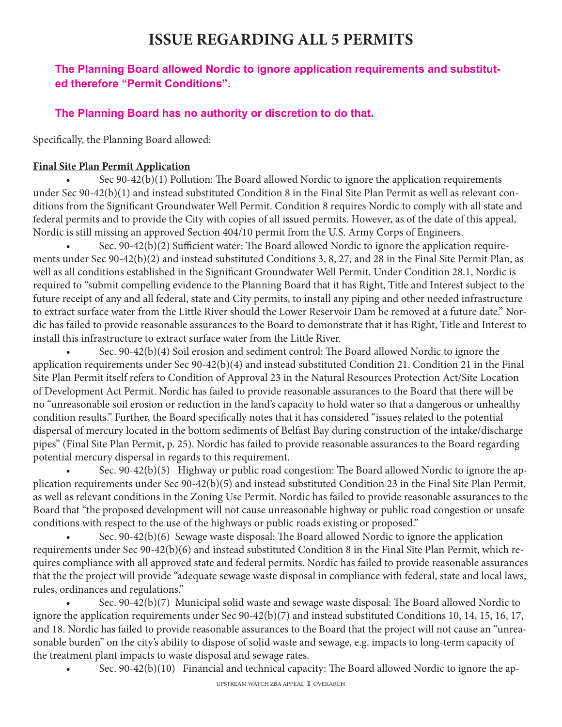# **ISSUE REGARDING ALL 5 PERMITS**

## **The Planning Board allowed Nordic to ignore application requirements and substituted therefore "Permit Conditions".**

## **The Planning Board has no authority or discretion to do that.**

Specifically, the Planning Board allowed:

#### **Final Site Plan Permit Application**

• Sec 90-42(b)(1) Pollution: The Board allowed Nordic to ignore the application requirements under Sec 90-42(b)(1) and instead substituted Condition 8 in the Final Site Plan Permit as well as relevant conditions from the Significant Groundwater Well Permit. Condition 8 requires Nordic to comply with all state and federal permits and to provide the City with copies of all issued permits. However, as of the date of this appeal, Nordic is still missing an approved Section 404/10 permit from the U.S. Army Corps of Engineers.

• Sec. 90-42(b)(2) Sufficient water: The Board allowed Nordic to ignore the application requirements under Sec 90-42(b)(2) and instead substituted Conditions 3, 8, 27, and 28 in the Final Site Permit Plan, as well as all conditions established in the Significant Groundwater Well Permit. Under Condition 28.1, Nordic is required to "submit compelling evidence to the Planning Board that it has Right, Title and Interest subject to the future receipt of any and all federal, state and City permits, to install any piping and other needed infrastructure to extract surface water from the Little River should the Lower Reservoir Dam be removed at a future date." Nordic has failed to provide reasonable assurances to the Board to demonstrate that it has Right, Title and Interest to install this infrastructure to extract surface water from the Little River.

• Sec. 90-42(b)(4) Soil erosion and sediment control: The Board allowed Nordic to ignore the application requirements under Sec 90-42(b)(4) and instead substituted Condition 21. Condition 21 in the Final Site Plan Permit itself refers to Condition of Approval 23 in the Natural Resources Protection Act/Site Location of Development Act Permit. Nordic has failed to provide reasonable assurances to the Board that there will be no "unreasonable soil erosion or reduction in the land's capacity to hold water so that a dangerous or unhealthy condition results." Further, the Board specifically notes that it has considered "issues related to the potential dispersal of mercury located in the bottom sediments of Belfast Bay during construction of the intake/discharge pipes" (Final Site Plan Permit, p. 25). Nordic has failed to provide reasonable assurances to the Board regarding potential mercury dispersal in regards to this requirement.

• Sec. 90-42(b)(5) Highway or public road congestion: The Board allowed Nordic to ignore the application requirements under Sec 90-42(b)(5) and instead substituted Condition 23 in the Final Site Plan Permit, as well as relevant conditions in the Zoning Use Permit. Nordic has failed to provide reasonable assurances to the Board that "the proposed development will not cause unreasonable highway or public road congestion or unsafe conditions with respect to the use of the highways or public roads existing or proposed."

• Sec. 90-42(b)(6) Sewage waste disposal: The Board allowed Nordic to ignore the application requirements under Sec 90-42(b)(6) and instead substituted Condition 8 in the Final Site Plan Permit, which requires compliance with all approved state and federal permits. Nordic has failed to provide reasonable assurances that the the project will provide "adequate sewage waste disposal in compliance with federal, state and local laws, rules, ordinances and regulations."

• Sec. 90-42(b)(7) Municipal solid waste and sewage waste disposal: The Board allowed Nordic to ignore the application requirements under Sec 90-42(b)(7) and instead substituted Conditions 10, 14, 15, 16, 17, and 18. Nordic has failed to provide reasonable assurances to the Board that the project will not cause an "unreasonable burden" on the city's ability to dispose of solid waste and sewage, e.g. impacts to long-term capacity of the treatment plant impacts to waste disposal and sewage rates.

• Sec. 90-42(b)(10) Financial and technical capacity: The Board allowed Nordic to ignore the ap-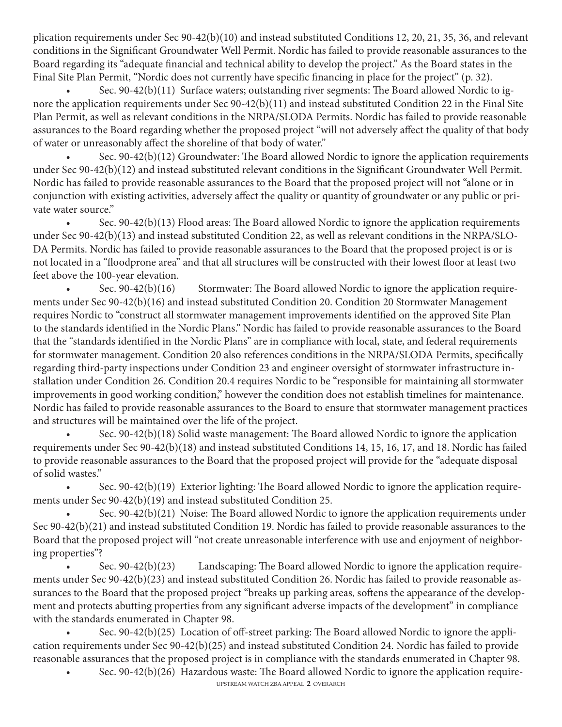plication requirements under Sec 90-42(b)(10) and instead substituted Conditions 12, 20, 21, 35, 36, and relevant conditions in the Significant Groundwater Well Permit. Nordic has failed to provide reasonable assurances to the Board regarding its "adequate financial and technical ability to develop the project." As the Board states in the Final Site Plan Permit, "Nordic does not currently have specific financing in place for the project" (p. 32).

• Sec. 90-42(b)(11) Surface waters; outstanding river segments: The Board allowed Nordic to ignore the application requirements under Sec 90-42(b)(11) and instead substituted Condition 22 in the Final Site Plan Permit, as well as relevant conditions in the NRPA/SLODA Permits. Nordic has failed to provide reasonable assurances to the Board regarding whether the proposed project "will not adversely affect the quality of that body of water or unreasonably affect the shoreline of that body of water."

• Sec. 90-42(b)(12) Groundwater: The Board allowed Nordic to ignore the application requirements under Sec 90-42(b)(12) and instead substituted relevant conditions in the Significant Groundwater Well Permit. Nordic has failed to provide reasonable assurances to the Board that the proposed project will not "alone or in conjunction with existing activities, adversely affect the quality or quantity of groundwater or any public or private water source."

• Sec. 90-42(b)(13) Flood areas: The Board allowed Nordic to ignore the application requirements under Sec 90-42(b)(13) and instead substituted Condition 22, as well as relevant conditions in the NRPA/SLO-DA Permits. Nordic has failed to provide reasonable assurances to the Board that the proposed project is or is not located in a "floodprone area" and that all structures will be constructed with their lowest floor at least two feet above the 100-year elevation.

Sec. 90-42(b)(16) Stormwater: The Board allowed Nordic to ignore the application requirements under Sec 90-42(b)(16) and instead substituted Condition 20. Condition 20 Stormwater Management requires Nordic to "construct all stormwater management improvements identified on the approved Site Plan to the standards identified in the Nordic Plans." Nordic has failed to provide reasonable assurances to the Board that the "standards identified in the Nordic Plans" are in compliance with local, state, and federal requirements for stormwater management. Condition 20 also references conditions in the NRPA/SLODA Permits, specifically regarding third-party inspections under Condition 23 and engineer oversight of stormwater infrastructure installation under Condition 26. Condition 20.4 requires Nordic to be "responsible for maintaining all stormwater improvements in good working condition," however the condition does not establish timelines for maintenance. Nordic has failed to provide reasonable assurances to the Board to ensure that stormwater management practices and structures will be maintained over the life of the project.

• Sec. 90-42(b)(18) Solid waste management: The Board allowed Nordic to ignore the application requirements under Sec 90-42(b)(18) and instead substituted Conditions 14, 15, 16, 17, and 18. Nordic has failed to provide reasonable assurances to the Board that the proposed project will provide for the "adequate disposal of solid wastes."

• Sec. 90-42(b)(19) Exterior lighting: The Board allowed Nordic to ignore the application requirements under Sec 90-42(b)(19) and instead substituted Condition 25.

• Sec. 90-42(b)(21) Noise: The Board allowed Nordic to ignore the application requirements under Sec 90-42(b)(21) and instead substituted Condition 19. Nordic has failed to provide reasonable assurances to the Board that the proposed project will "not create unreasonable interference with use and enjoyment of neighboring properties"?

• Sec. 90-42(b)(23) Landscaping: The Board allowed Nordic to ignore the application requirements under Sec 90-42(b)(23) and instead substituted Condition 26. Nordic has failed to provide reasonable assurances to the Board that the proposed project "breaks up parking areas, softens the appearance of the development and protects abutting properties from any significant adverse impacts of the development" in compliance with the standards enumerated in Chapter 98.

• Sec. 90-42(b)(25) Location of off-street parking: The Board allowed Nordic to ignore the application requirements under Sec 90-42(b)(25) and instead substituted Condition 24. Nordic has failed to provide reasonable assurances that the proposed project is in compliance with the standards enumerated in Chapter 98.

UPSTREAM WATCH ZBA APPEAL **2** OVERARCH • Sec. 90-42(b)(26) Hazardous waste: The Board allowed Nordic to ignore the application require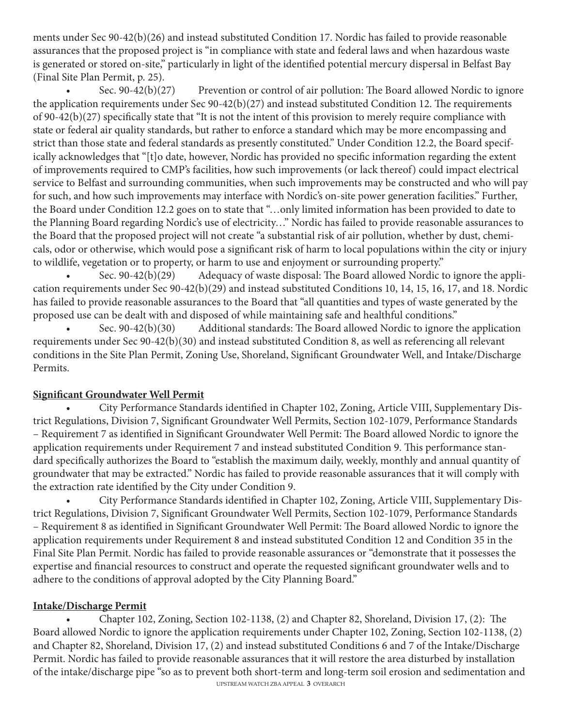ments under Sec 90-42(b)(26) and instead substituted Condition 17. Nordic has failed to provide reasonable assurances that the proposed project is "in compliance with state and federal laws and when hazardous waste is generated or stored on-site," particularly in light of the identified potential mercury dispersal in Belfast Bay (Final Site Plan Permit, p. 25).

Sec.  $90-42(b)(27)$  Prevention or control of air pollution: The Board allowed Nordic to ignore the application requirements under Sec 90-42(b)(27) and instead substituted Condition 12. The requirements of 90-42(b)(27) specifically state that "It is not the intent of this provision to merely require compliance with state or federal air quality standards, but rather to enforce a standard which may be more encompassing and strict than those state and federal standards as presently constituted." Under Condition 12.2, the Board specifically acknowledges that "[t]o date, however, Nordic has provided no specific information regarding the extent of improvements required to CMP's facilities, how such improvements (or lack thereof) could impact electrical service to Belfast and surrounding communities, when such improvements may be constructed and who will pay for such, and how such improvements may interface with Nordic's on-site power generation facilities." Further, the Board under Condition 12.2 goes on to state that "…only limited information has been provided to date to the Planning Board regarding Nordic's use of electricity…" Nordic has failed to provide reasonable assurances to the Board that the proposed project will not create "a substantial risk of air pollution, whether by dust, chemicals, odor or otherwise, which would pose a significant risk of harm to local populations within the city or injury to wildlife, vegetation or to property, or harm to use and enjoyment or surrounding property."

• Sec. 90-42(b)(29) Adequacy of waste disposal: The Board allowed Nordic to ignore the application requirements under Sec 90-42(b)(29) and instead substituted Conditions 10, 14, 15, 16, 17, and 18. Nordic has failed to provide reasonable assurances to the Board that "all quantities and types of waste generated by the proposed use can be dealt with and disposed of while maintaining safe and healthful conditions."

• Sec. 90-42(b)(30) Additional standards: The Board allowed Nordic to ignore the application requirements under Sec 90-42(b)(30) and instead substituted Condition 8, as well as referencing all relevant conditions in the Site Plan Permit, Zoning Use, Shoreland, Significant Groundwater Well, and Intake/Discharge Permits.

#### **Significant Groundwater Well Permit**

• City Performance Standards identified in Chapter 102, Zoning, Article VIII, Supplementary District Regulations, Division 7, Significant Groundwater Well Permits, Section 102-1079, Performance Standards – Requirement 7 as identified in Significant Groundwater Well Permit: The Board allowed Nordic to ignore the application requirements under Requirement 7 and instead substituted Condition 9. This performance standard specifically authorizes the Board to "establish the maximum daily, weekly, monthly and annual quantity of groundwater that may be extracted." Nordic has failed to provide reasonable assurances that it will comply with the extraction rate identified by the City under Condition 9.

• City Performance Standards identified in Chapter 102, Zoning, Article VIII, Supplementary District Regulations, Division 7, Significant Groundwater Well Permits, Section 102-1079, Performance Standards – Requirement 8 as identified in Significant Groundwater Well Permit: The Board allowed Nordic to ignore the application requirements under Requirement 8 and instead substituted Condition 12 and Condition 35 in the Final Site Plan Permit. Nordic has failed to provide reasonable assurances or "demonstrate that it possesses the expertise and financial resources to construct and operate the requested significant groundwater wells and to adhere to the conditions of approval adopted by the City Planning Board."

#### **Intake/Discharge Permit**

• Chapter 102, Zoning, Section 102-1138, (2) and Chapter 82, Shoreland, Division 17, (2): The Board allowed Nordic to ignore the application requirements under Chapter 102, Zoning, Section 102-1138, (2) and Chapter 82, Shoreland, Division 17, (2) and instead substituted Conditions 6 and 7 of the Intake/Discharge Permit. Nordic has failed to provide reasonable assurances that it will restore the area disturbed by installation of the intake/discharge pipe "so as to prevent both short-term and long-term soil erosion and sedimentation and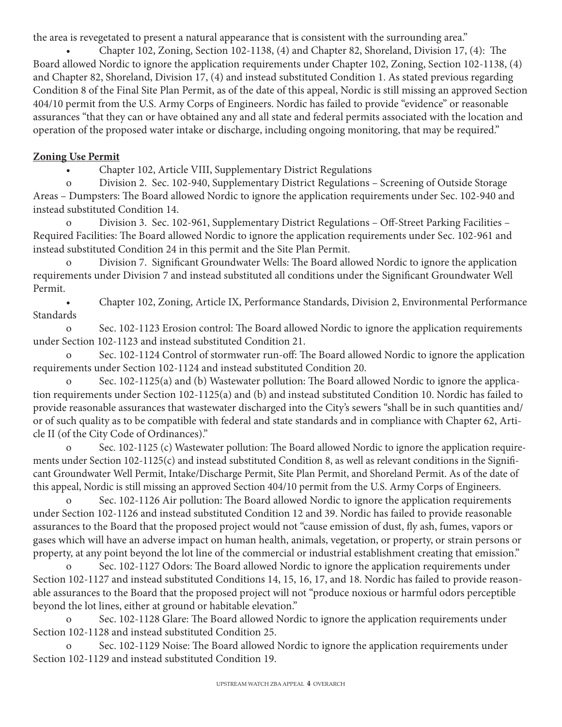the area is revegetated to present a natural appearance that is consistent with the surrounding area."

• Chapter 102, Zoning, Section 102-1138, (4) and Chapter 82, Shoreland, Division 17, (4): The Board allowed Nordic to ignore the application requirements under Chapter 102, Zoning, Section 102-1138, (4) and Chapter 82, Shoreland, Division 17, (4) and instead substituted Condition 1. As stated previous regarding Condition 8 of the Final Site Plan Permit, as of the date of this appeal, Nordic is still missing an approved Section 404/10 permit from the U.S. Army Corps of Engineers. Nordic has failed to provide "evidence" or reasonable assurances "that they can or have obtained any and all state and federal permits associated with the location and operation of the proposed water intake or discharge, including ongoing monitoring, that may be required."

### **Zoning Use Permit**

• Chapter 102, Article VIII, Supplementary District Regulations

o Division 2. Sec. 102-940, Supplementary District Regulations – Screening of Outside Storage Areas – Dumpsters: The Board allowed Nordic to ignore the application requirements under Sec. 102-940 and instead substituted Condition 14.

o Division 3. Sec. 102-961, Supplementary District Regulations – Off-Street Parking Facilities – Required Facilities: The Board allowed Nordic to ignore the application requirements under Sec. 102-961 and instead substituted Condition 24 in this permit and the Site Plan Permit.

o Division 7. Significant Groundwater Wells: The Board allowed Nordic to ignore the application requirements under Division 7 and instead substituted all conditions under the Significant Groundwater Well Permit.

• Chapter 102, Zoning, Article IX, Performance Standards, Division 2, Environmental Performance **Standards** 

o Sec. 102-1123 Erosion control: The Board allowed Nordic to ignore the application requirements under Section 102-1123 and instead substituted Condition 21.

Sec. 102-1124 Control of stormwater run-off: The Board allowed Nordic to ignore the application requirements under Section 102-1124 and instead substituted Condition 20.

Sec. 102-1125(a) and (b) Wastewater pollution: The Board allowed Nordic to ignore the application requirements under Section 102-1125(a) and (b) and instead substituted Condition 10. Nordic has failed to provide reasonable assurances that wastewater discharged into the City's sewers "shall be in such quantities and/ or of such quality as to be compatible with federal and state standards and in compliance with Chapter 62, Article II (of the City Code of Ordinances)."

o Sec. 102-1125 (c) Wastewater pollution: The Board allowed Nordic to ignore the application requirements under Section 102-1125(c) and instead substituted Condition 8, as well as relevant conditions in the Significant Groundwater Well Permit, Intake/Discharge Permit, Site Plan Permit, and Shoreland Permit. As of the date of this appeal, Nordic is still missing an approved Section 404/10 permit from the U.S. Army Corps of Engineers.

Sec. 102-1126 Air pollution: The Board allowed Nordic to ignore the application requirements under Section 102-1126 and instead substituted Condition 12 and 39. Nordic has failed to provide reasonable assurances to the Board that the proposed project would not "cause emission of dust, fly ash, fumes, vapors or gases which will have an adverse impact on human health, animals, vegetation, or property, or strain persons or property, at any point beyond the lot line of the commercial or industrial establishment creating that emission."

o Sec. 102-1127 Odors: The Board allowed Nordic to ignore the application requirements under Section 102-1127 and instead substituted Conditions 14, 15, 16, 17, and 18. Nordic has failed to provide reasonable assurances to the Board that the proposed project will not "produce noxious or harmful odors perceptible beyond the lot lines, either at ground or habitable elevation."

Sec. 102-1128 Glare: The Board allowed Nordic to ignore the application requirements under Section 102-1128 and instead substituted Condition 25.

Sec. 102-1129 Noise: The Board allowed Nordic to ignore the application requirements under Section 102-1129 and instead substituted Condition 19.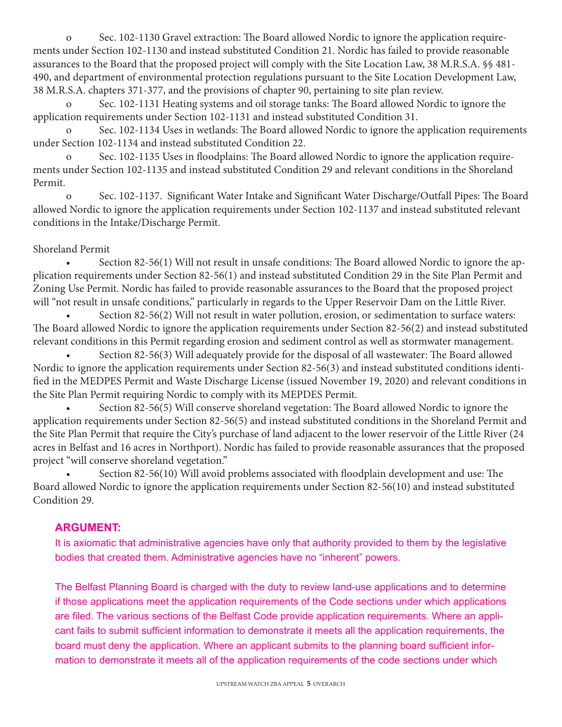o Sec. 102-1130 Gravel extraction: The Board allowed Nordic to ignore the application requirements under Section 102-1130 and instead substituted Condition 21. Nordic has failed to provide reasonable assurances to the Board that the proposed project will comply with the Site Location Law, 38 M.R.S.A. §§ 481- 490, and department of environmental protection regulations pursuant to the Site Location Development Law, 38 M.R.S.A. chapters 371-377, and the provisions of chapter 90, pertaining to site plan review.

Sec. 102-1131 Heating systems and oil storage tanks: The Board allowed Nordic to ignore the application requirements under Section 102-1131 and instead substituted Condition 31.

Sec. 102-1134 Uses in wetlands: The Board allowed Nordic to ignore the application requirements under Section 102-1134 and instead substituted Condition 22.

o Sec. 102-1135 Uses in floodplains: The Board allowed Nordic to ignore the application requirements under Section 102-1135 and instead substituted Condition 29 and relevant conditions in the Shoreland Permit.

o Sec. 102-1137. Significant Water Intake and Significant Water Discharge/Outfall Pipes: The Board allowed Nordic to ignore the application requirements under Section 102-1137 and instead substituted relevant conditions in the Intake/Discharge Permit.

#### Shoreland Permit

• Section 82-56(1) Will not result in unsafe conditions: The Board allowed Nordic to ignore the application requirements under Section 82-56(1) and instead substituted Condition 29 in the Site Plan Permit and Zoning Use Permit. Nordic has failed to provide reasonable assurances to the Board that the proposed project will "not result in unsafe conditions," particularly in regards to the Upper Reservoir Dam on the Little River.

• Section 82-56(2) Will not result in water pollution, erosion, or sedimentation to surface waters: The Board allowed Nordic to ignore the application requirements under Section 82-56(2) and instead substituted relevant conditions in this Permit regarding erosion and sediment control as well as stormwater management.

• Section 82-56(3) Will adequately provide for the disposal of all wastewater: The Board allowed Nordic to ignore the application requirements under Section 82-56(3) and instead substituted conditions identified in the MEDPES Permit and Waste Discharge License (issued November 19, 2020) and relevant conditions in the Site Plan Permit requiring Nordic to comply with its MEPDES Permit.

• Section 82-56(5) Will conserve shoreland vegetation: The Board allowed Nordic to ignore the application requirements under Section 82-56(5) and instead substituted conditions in the Shoreland Permit and the Site Plan Permit that require the City's purchase of land adjacent to the lower reservoir of the Little River (24 acres in Belfast and 16 acres in Northport). Nordic has failed to provide reasonable assurances that the proposed project "will conserve shoreland vegetation."

• Section 82-56(10) Will avoid problems associated with floodplain development and use: The Board allowed Nordic to ignore the application requirements under Section 82-56(10) and instead substituted Condition 29.

#### **ARGUMENT:**

It is axiomatic that administrative agencies have only that authority provided to them by the legislative bodies that created them. Administrative agencies have no "inherent" powers.

The Belfast Planning Board is charged with the duty to review land-use applications and to determine if those applications meet the application requirements of the Code sections under which applications are filed. The various sections of the Belfast Code provide application requirements. Where an applicant fails to submit sufficient information to demonstrate it meets all the application requirements, the board must deny the application. Where an applicant submits to the planning board sufficient information to demonstrate it meets all of the application requirements of the code sections under which